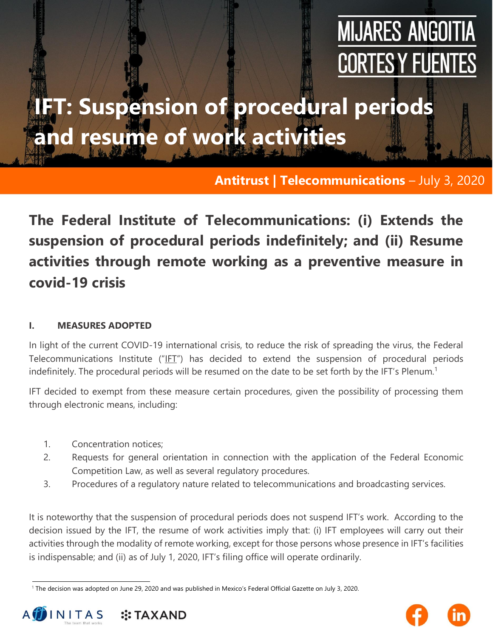# **MIJARES ANGOITIA CORTES Y FUENTES**

## **IFT: Suspension of procedural periods and resume of work activities**

**Antitrust | Telecommunications** – July 3, 2020

### **The Federal Institute of Telecommunications: (i) Extends the suspension of procedural periods indefinitely; and (ii) Resume activities through remote working as a preventive measure in covid-19 crisis**

#### **I. MEASURES ADOPTED**

In light of the current COVID-19 international crisis, to reduce the risk of spreading the virus, the Federal Telecommunications Institute ("IFT") has decided to extend the suspension of procedural periods indefinitely. The procedural periods will be resumed on the date to be set forth by the IFT's Plenum.<sup>1</sup>

IFT decided to exempt from these measure certain procedures, given the possibility of processing them through electronic means, including:

- 1. Concentration notices;
- 2. Requests for general orientation in connection with the application of the Federal Economic Competition Law, as well as several regulatory procedures.
- 3. Procedures of a regulatory nature related to telecommunications and broadcasting services.

It is noteworthy that the suspension of procedural periods does not suspend IFT's work. According to the decision issued by the IFT, the resume of work activities imply that: (i) IFT employees will carry out their activities through the modality of remote working, except for those persons whose presence in IFT's facilities is indispensable; and (ii) as of July 1, 2020, IFT's filing office will operate ordinarily.

<sup>1</sup> The decision was adopted on June 29, 2020 and was published in Mexico's Federal Official Gazette on July 3, 2020.